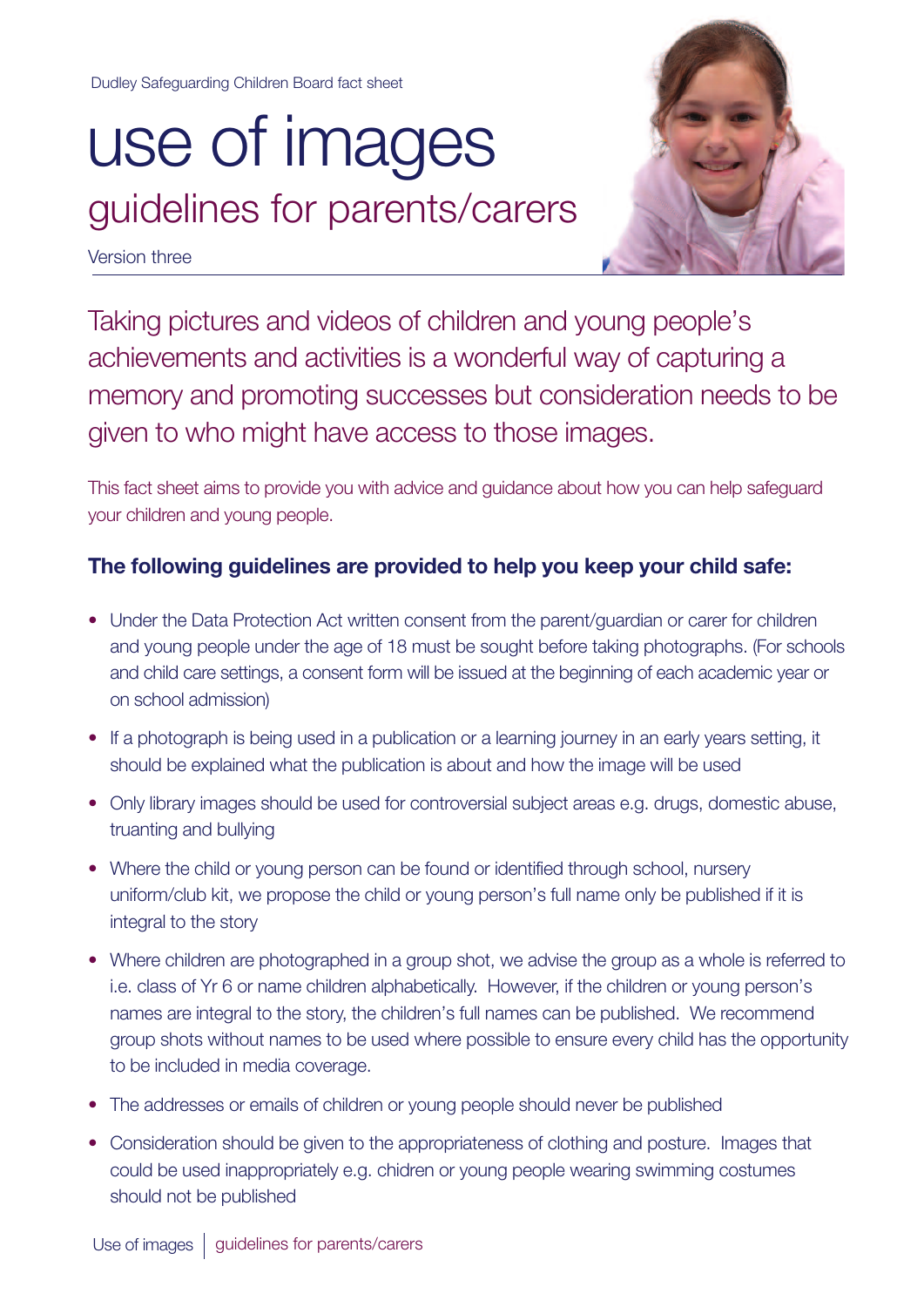Dudley Safeguarding Children Board fact sheet

## use of images guidelines for parents/carers

Version three



Taking pictures and videos of children and young people's achievements and activities is a wonderful way of capturing a memory and promoting successes but consideration needs to be given to who might have access to those images.

This fact sheet aims to provide you with advice and guidance about how you can help safeguard your children and young people.

## **The following guidelines are provided to help you keep your child safe:**

- Under the Data Protection Act written consent from the parent/guardian or carer for children and young people under the age of 18 must be sought before taking photographs. (For schools and child care settings, a consent form will be issued at the beginning of each academic year or on school admission)
- If a photograph is being used in a publication or a learning journey in an early years setting, it should be explained what the publication is about and how the image will be used
- Only library images should be used for controversial subject areas e.g. drugs, domestic abuse, truanting and bullying
- Where the child or young person can be found or identified through school, nursery uniform/club kit, we propose the child or young person's full name only be published if it is integral to the story
- Where children are photographed in a group shot, we advise the group as a whole is referred to i.e. class of Yr 6 or name children alphabetically. However, if the children or young person's names are integral to the story, the children's full names can be published. We recommend group shots without names to be used where possible to ensure every child has the opportunity to be included in media coverage.
- The addresses or emails of children or young people should never be published
- Consideration should be given to the appropriateness of clothing and posture. Images that could be used inappropriately e.g. chidren or young people wearing swimming costumes should not be published